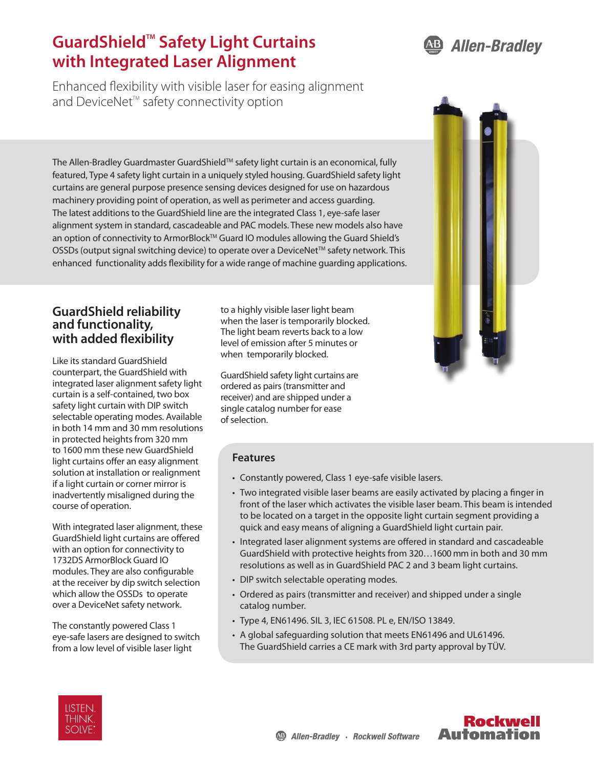**Allen-Bradley** · Rockwell Software



Enhanced flexibility with visible laser for easing alignment and DeviceNet<sup>™</sup> safety connectivity option

The Allen-Bradley Guardmaster GuardShield™ safety light curtain is an economical, fully featured, Type 4 safety light curtain in a uniquely styled housing. GuardShield safety light curtains are general purpose presence sensing devices designed for use on hazardous machinery providing point of operation, as well as perimeter and access guarding. The latest additions to the GuardShield line are the integrated Class 1, eye-safe laser alignment system in standard, cascadeable and PAC models. These new models also have an option of connectivity to ArmorBlock™ Guard IO modules allowing the Guard Shield's OSSDs (output signal switching device) to operate over a DeviceNet™ safety network. This enhanced functionality adds flexibility for a wide range of machine guarding applications.

## **GuardShield reliability and functionality, with added flexibility**

Like its standard GuardShield counterpart, the GuardShield with integrated laser alignment safety light curtain is a self-contained, two box safety light curtain with DIP switch selectable operating modes. Available in both 14 mm and 30 mm resolutions in protected heights from 320 mm to 1600 mm these new GuardShield light curtains offer an easy alignment solution at installation or realignment if a light curtain or corner mirror is inadvertently misaligned during the course of operation.

With integrated laser alignment, these GuardShield light curtains are offered with an option for connectivity to 1732DS ArmorBlock Guard IO modules. They are also configurable at the receiver by dip switch selection which allow the OSSDs to operate over a DeviceNet safety network.

The constantly powered Class 1 eye-safe lasers are designed to switch from a low level of visible laser light

to a highly visible laser light beam when the laser is temporarily blocked. The light beam reverts back to a low level of emission after 5 minutes or when temporarily blocked.

GuardShield safety light curtains are ordered as pairs (transmitter and receiver) and are shipped under a single catalog number for ease of selection.

### **Features**

- Constantly powered, Class 1 eye-safe visible lasers.
- Two integrated visible laser beams are easily activated by placing a finger in front of the laser which activates the visible laser beam. This beam is intended to be located on a target in the opposite light curtain segment providing a quick and easy means of aligning a GuardShield light curtain pair.
- • Integrated laser alignment systems are offered in standard and cascadeable GuardShield with protective heights from 320…1600 mm in both and 30 mm resolutions as well as in GuardShield PAC 2 and 3 beam light curtains.
- DIP switch selectable operating modes.
- Ordered as pairs (transmitter and receiver) and shipped under a single catalog number.
- • Type 4, EN61496. SIL 3, IEC 61508. PL e, EN/ISO 13849.
- A global safeguarding solution that meets EN61496 and UL61496. The GuardShield carries a CE mark with 3rd party approval by TÜV.





**Rockwell** 

**Automation**